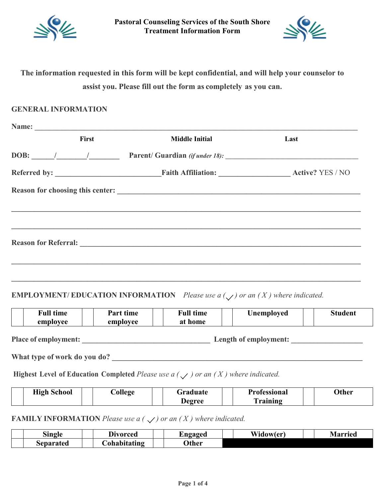



# **The information requested in this form will be kept confidential, and will help your counselor to assist you. Please fill out the form as completely as you can.**

#### **GENERAL INFORMATION**

| First | <b>Middle Initial</b>                                                                                                                                                                                                                                                                                                                                                                                               | Last |
|-------|---------------------------------------------------------------------------------------------------------------------------------------------------------------------------------------------------------------------------------------------------------------------------------------------------------------------------------------------------------------------------------------------------------------------|------|
|       | DOB: $\frac{1}{\sqrt{1-\frac{1}{1-\frac{1}{1-\frac{1}{1-\frac{1}{1-\frac{1}{1-\frac{1}{1-\frac{1}{1-\frac{1}{1-\frac{1}{1-\frac{1}{1-\frac{1}{1-\frac{1}{1-\frac{1}{1-\frac{1}{1-\frac{1}{1-\frac{1}{1-\frac{1}{1-\frac{1}{1-\frac{1}{1-\frac{1}{1-\frac{1}{1-\frac{1}{1-\frac{1}{1-\frac{1}{1-\frac{1}{1-\frac{1}{1-\frac{1}{1-\frac{1}{1-\frac{1}{1-\frac{1}{1-\frac{1}{1-\frac{1}{1-\frac{1}{1-\frac{1}{1-\frac$ |      |
|       |                                                                                                                                                                                                                                                                                                                                                                                                                     |      |
|       |                                                                                                                                                                                                                                                                                                                                                                                                                     |      |
|       |                                                                                                                                                                                                                                                                                                                                                                                                                     |      |
|       |                                                                                                                                                                                                                                                                                                                                                                                                                     |      |
|       |                                                                                                                                                                                                                                                                                                                                                                                                                     |      |
|       |                                                                                                                                                                                                                                                                                                                                                                                                                     |      |
|       |                                                                                                                                                                                                                                                                                                                                                                                                                     |      |
|       |                                                                                                                                                                                                                                                                                                                                                                                                                     |      |
|       |                                                                                                                                                                                                                                                                                                                                                                                                                     |      |

## **EMPLOYMENT/ EDUCATION INFORMATION** *Please use a*  $(\sqrt{})$  *or an*  $(X)$  *where indicated.*

|                             | <b>Full time</b><br>employee | Part time<br>employee | <b>Full time</b><br>at home | <b>Unemployed</b>     | <b>Student</b> |
|-----------------------------|------------------------------|-----------------------|-----------------------------|-----------------------|----------------|
| <b>Place of employment:</b> |                              |                       |                             | Length of employment: |                |

**What type of work do you do? \_\_\_\_\_\_\_\_\_\_\_\_\_\_\_\_\_\_\_\_\_\_\_\_\_\_\_\_\_\_\_\_\_\_\_\_\_\_\_\_\_\_\_\_\_\_\_\_\_\_\_\_\_\_\_\_\_\_\_\_\_\_\_\_\_\_**

**Highest Level of Education Completed** *Please use a*  $(\sqrt{})$  *or an*  $(X)$  *where indicated.* 

| <b>High School</b> | <b>College</b> | Graduate | <b>Professional</b> | Other |
|--------------------|----------------|----------|---------------------|-------|
|                    |                | Degree   | Training            |       |

## **FAMILY INFORMATION** Please use  $a \left( \bigvee \right)$  or an  $(X)$  where indicated.

| $\sim$<br>sıngle | $\mathbf{r}$<br>Divorced | L.ngaged     | Wi<br>.dowler<br>١n | Marrier |
|------------------|--------------------------|--------------|---------------------|---------|
| separater        | . ohal i<br>oitating     | <b>Other</b> |                     |         |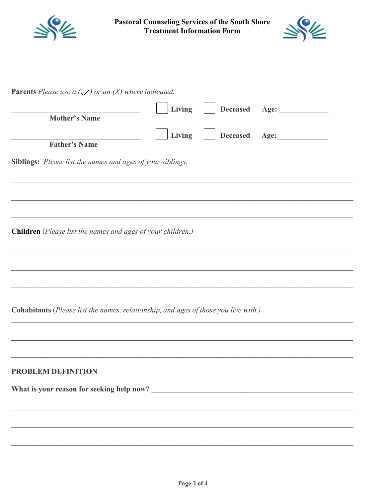

**Pastoral Counseling Services of the South Shore<br>Treatment Information Form** 



**Parents** Please use  $a(\checkmark)$  or an (X) where indicated.

| <b>Mother's Name</b>                                                                | Living |  |
|-------------------------------------------------------------------------------------|--------|--|
|                                                                                     | Living |  |
| <b>Father's Name</b>                                                                |        |  |
| Siblings: Please list the names and ages of your siblings.                          |        |  |
|                                                                                     |        |  |
|                                                                                     |        |  |
|                                                                                     |        |  |
| Children (Please list the names and ages of your children.)                         |        |  |
|                                                                                     |        |  |
|                                                                                     |        |  |
|                                                                                     |        |  |
|                                                                                     |        |  |
| Cohabitants (Please list the names, relationship, and ages of those you live with.) |        |  |
|                                                                                     |        |  |
|                                                                                     |        |  |
| <b>PROBLEM DEFINITION</b>                                                           |        |  |
|                                                                                     |        |  |
|                                                                                     |        |  |
|                                                                                     |        |  |
|                                                                                     |        |  |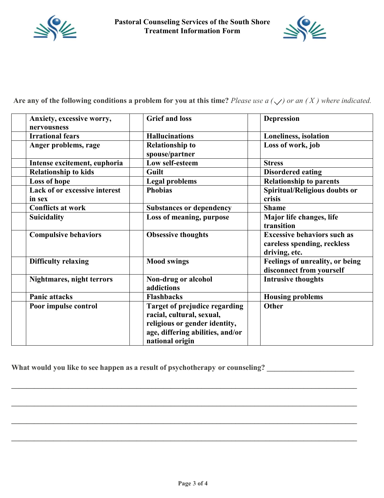



Are any of the following conditions a problem for you at this time? Please use a  $(\sqrt{\ })$  or an  $(X)$  where indicated.

| Anxiety, excessive worry,<br>nervousness       | <b>Grief and loss</b>                                                                                                                                     | <b>Depression</b>                                                                  |
|------------------------------------------------|-----------------------------------------------------------------------------------------------------------------------------------------------------------|------------------------------------------------------------------------------------|
| <b>Irrational fears</b>                        | <b>Hallucinations</b>                                                                                                                                     | <b>Loneliness, isolation</b>                                                       |
| Anger problems, rage                           | <b>Relationship to</b><br>spouse/partner                                                                                                                  | Loss of work, job                                                                  |
| Intense excitement, euphoria                   | Low self-esteem                                                                                                                                           | <b>Stress</b>                                                                      |
| <b>Relationship to kids</b>                    | Guilt                                                                                                                                                     | <b>Disordered eating</b>                                                           |
| Loss of hope                                   | <b>Legal problems</b>                                                                                                                                     | <b>Relationship to parents</b>                                                     |
| <b>Lack of or excessive interest</b><br>in sex | <b>Phobias</b>                                                                                                                                            | <b>Spiritual/Religious doubts or</b><br>crisis                                     |
| <b>Conflicts at work</b>                       | <b>Substances or dependency</b>                                                                                                                           | <b>Shame</b>                                                                       |
| <b>Suicidality</b>                             | Loss of meaning, purpose                                                                                                                                  | Major life changes, life<br>transition                                             |
| <b>Compulsive behaviors</b>                    | <b>Obsessive thoughts</b>                                                                                                                                 | <b>Excessive behaviors such as</b><br>careless spending, reckless<br>driving, etc. |
| <b>Difficulty relaxing</b>                     | <b>Mood swings</b>                                                                                                                                        | <b>Feelings of unreality, or being</b><br>disconnect from yourself                 |
| <b>Nightmares, night terrors</b>               | Non-drug or alcohol<br>addictions                                                                                                                         | <b>Intrusive thoughts</b>                                                          |
| <b>Panic attacks</b>                           | <b>Flashbacks</b>                                                                                                                                         | <b>Housing problems</b>                                                            |
| Poor impulse control                           | <b>Target of prejudice regarding</b><br>racial, cultural, sexual,<br>religious or gender identity,<br>age, differing abilities, and/or<br>national origin | Other                                                                              |

**What would you like to see happen as a result of psychotherapy or counseling? \_\_\_\_\_\_\_\_\_\_\_\_\_\_\_\_\_\_\_\_\_\_\_**

**\_\_\_\_\_\_\_\_\_\_\_\_\_\_\_\_\_\_\_\_\_\_\_\_\_\_\_\_\_\_\_\_\_\_\_\_\_\_\_\_\_\_\_\_\_\_\_\_\_\_\_\_\_\_\_\_\_\_\_\_\_\_\_\_\_\_\_\_\_\_\_\_\_\_\_\_\_\_\_\_\_\_\_\_\_\_\_\_\_\_\_**

**\_\_\_\_\_\_\_\_\_\_\_\_\_\_\_\_\_\_\_\_\_\_\_\_\_\_\_\_\_\_\_\_\_\_\_\_\_\_\_\_\_\_\_\_\_\_\_\_\_\_\_\_\_\_\_\_\_\_\_\_\_\_\_\_\_\_\_\_\_\_\_\_\_\_\_\_\_\_\_\_\_\_\_\_\_\_\_\_\_\_\_**

**\_\_\_\_\_\_\_\_\_\_\_\_\_\_\_\_\_\_\_\_\_\_\_\_\_\_\_\_\_\_\_\_\_\_\_\_\_\_\_\_\_\_\_\_\_\_\_\_\_\_\_\_\_\_\_\_\_\_\_\_\_\_\_\_\_\_\_\_\_\_\_\_\_\_\_\_\_\_\_\_\_\_\_\_\_\_\_\_\_\_\_**

**\_\_\_\_\_\_\_\_\_\_\_\_\_\_\_\_\_\_\_\_\_\_\_\_\_\_\_\_\_\_\_\_\_\_\_\_\_\_\_\_\_\_\_\_\_\_\_\_\_\_\_\_\_\_\_\_\_\_\_\_\_\_\_\_\_\_\_\_\_\_\_\_\_\_\_\_\_\_\_\_\_\_\_\_\_\_\_\_\_\_\_**